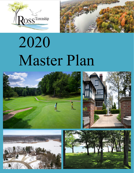



# 2020 Master Plan





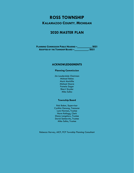## **ROSS TOWNSHIP KALAMAZOO COUNTY, MICHIGAN**

### **2020 MASTER PLAN**

**PLANNING COMMISSION PUBLIC HEARING – , 2021 ADOPTED BY THE TOWNSHIP BOARD – , 2021**

#### **ACKNOWLEDGEMENTS**

#### **Planning Commission**

Jim Lauderdale Chairman Michael Bekes Mark Markillie Michael Moore Pamela Sager Sherri Snyder Mike Sulka

#### **Township Board**

Rob Baker, Supervisor Cynthia Genung, Treasurer Lynn Harmon, Trustee Norm Kellogg, Clerk Diana Langshaw, Trustee David Senkewitz, Trustee Mike Sulka, Trustee

Rebecca Harvey, AICP, PCP Township Planning Consultant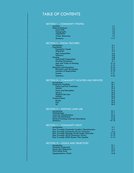## TABLE OF CONTENTS

| <b>SECTION 1 - COMMUNITY PROFILE</b><br>Location                             | I- 1                   |
|------------------------------------------------------------------------------|------------------------|
| <b>Natural Features</b>                                                      | L2                     |
| Local Soils                                                                  | L <sub>2</sub>         |
| Topography                                                                   | I-5.                   |
| Vegetation                                                                   | $-5$                   |
| <b>Water Resources</b>                                                       | $1-9$                  |
| Summary                                                                      | $1 - 17$               |
| <b>SECTION II - SOCIAL FEATURES</b>                                          |                        |
| Introduction<br>Population                                                   | $II-1$<br>$II-1$       |
| <b>Population Trends</b>                                                     | $II-1$                 |
| Migration                                                                    | II-3                   |
| <b>Age Composition</b>                                                       | $II - 4$               |
| Summary                                                                      | $II-8$<br>$II-8$       |
| Housing<br><b>Household Composition</b>                                      | $II-8$                 |
| <b>Housing Occupancy</b>                                                     | $II-1$                 |
| Age and Value of Housing                                                     | $II - 13$              |
| Summary                                                                      | $II - 15$              |
| <b>Education and Economics</b><br><b>Education and Occupation</b>            | $II - 16$<br>$II - 16$ |
| <b>Location of Employment</b>                                                | $II - 19$              |
| Income                                                                       | $II - 21$              |
| Summary                                                                      | $II-22$                |
| <b>SECTION III - COMMUNITY FACILITIES AND SERVICES</b>                       |                        |
| Introduction                                                                 | $III - 1$              |
| <b>Community Facilities</b>                                                  | III-1                  |
| <b>Police and Fire Protection</b><br>Schools                                 | III-1<br>$III-2$       |
| <b>Parks and Recreation</b>                                                  | $III-3$                |
| Library                                                                      | $III - 5$              |
| <b>Medical Services</b>                                                      | $III-5$                |
| <b>Utilities</b>                                                             | $III - 5$              |
| Transportation                                                               | $III-9$                |
| Roads<br>Rail                                                                | $III-9$<br>$III-9$     |
| Air                                                                          | $III-9$                |
| <b>SECTION IV - EXISTING LAND USE</b>                                        |                        |
| Introduction                                                                 | $IV-1$                 |
| Methodology                                                                  | $IV-1$                 |
| <b>Land Use Classifications</b>                                              | $IV-4$                 |
| <b>Land Use Distribution</b><br><b>General Existing Land Use Description</b> | IV-6<br>$IV-6$         |
| Summary                                                                      | IV-19                  |
| <b>SECTION V - COMMUNITY INPUT</b>                                           |                        |
| Introduction                                                                 | V-1.                   |
| Ross Township Community Leaders' Questionnaire                               | $V-1$                  |
| Ross Township Community Survey Overview                                      | $V - 4$                |
| Ross Township Planning, Brook Lodge Charrette                                | $V-10$<br>$V-13$       |
| Ross Township 2018 Community Survey<br>Ross Township 2020 Master Plan Update | V-14                   |
|                                                                              |                        |
| <b>SECTION VI - GOALS AND OBJECTIVES</b><br>Introduction                     | VI-1.                  |
| <b>Planning Framework</b>                                                    | VI-1.                  |
| <b>Goals and Objectives</b>                                                  | $VI-Z$                 |
| <b>Overriding Goal</b>                                                       | $VI-Z$                 |
| <b>Supplementary Goals</b>                                                   | $VI-8$                 |